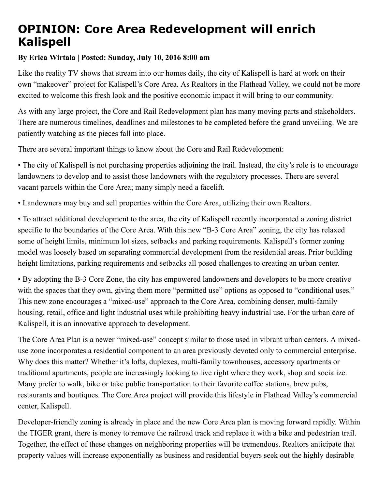## OPINION: Core Area Redevelopment will enrich Kalispell

## By Erica Wirtala | Posted: Sunday, July 10, 2016 8:00 am

Like the reality TV shows that stream into our homes daily, the city of Kalispell is hard at work on their own "makeover" project for Kalispell's Core Area. As Realtors in the Flathead Valley, we could not be more excited to welcome this fresh look and the positive economic impact it will bring to our community.

As with any large project, the Core and Rail Redevelopment plan has many moving parts and stakeholders. There are numerous timelines, deadlines and milestones to be completed before the grand unveiling. We are patiently watching as the pieces fall into place.

There are several important things to know about the Core and Rail Redevelopment:

• The city of Kalispell is not purchasing properties adjoining the trail. Instead, the city's role is to encourage landowners to develop and to assist those landowners with the regulatory processes. There are several vacant parcels within the Core Area; many simply need a facelift.

• Landowners may buy and sell properties within the Core Area, utilizing their own Realtors.

• To attract additional development to the area, the city of Kalispell recently incorporated a zoning district specific to the boundaries of the Core Area. With this new "B-3 Core Area" zoning, the city has relaxed some of height limits, minimum lot sizes, setbacks and parking requirements. Kalispell's former zoning model was loosely based on separating commercial development from the residential areas. Prior building height limitations, parking requirements and setbacks all posed challenges to creating an urban center.

• By adopting the B-3 Core Zone, the city has empowered landowners and developers to be more creative with the spaces that they own, giving them more "permitted use" options as opposed to "conditional uses." This new zone encourages a "mixed-use" approach to the Core Area, combining denser, multi-family housing, retail, office and light industrial uses while prohibiting heavy industrial use. For the urban core of Kalispell, it is an innovative approach to development.

The Core Area Plan is a newer "mixed-use" concept similar to those used in vibrant urban centers. A mixeduse zone incorporates a residential component to an area previously devoted only to commercial enterprise. Why does this matter? Whether it's lofts, duplexes, multi-family townhouses, accessory apartments or traditional apartments, people are increasingly looking to live right where they work, shop and socialize. Many prefer to walk, bike or take public transportation to their favorite coffee stations, brew pubs, restaurants and boutiques. The Core Area project will provide this lifestyle in Flathead Valley's commercial center, Kalispell.

Developer-friendly zoning is already in place and the new Core Area plan is moving forward rapidly. Within the TIGER grant, there is money to remove the railroad track and replace it with a bike and pedestrian trail. Together, the effect of these changes on neighboring properties will be tremendous. Realtors anticipate that property values will increase exponentially as business and residential buyers seek out the highly desirable